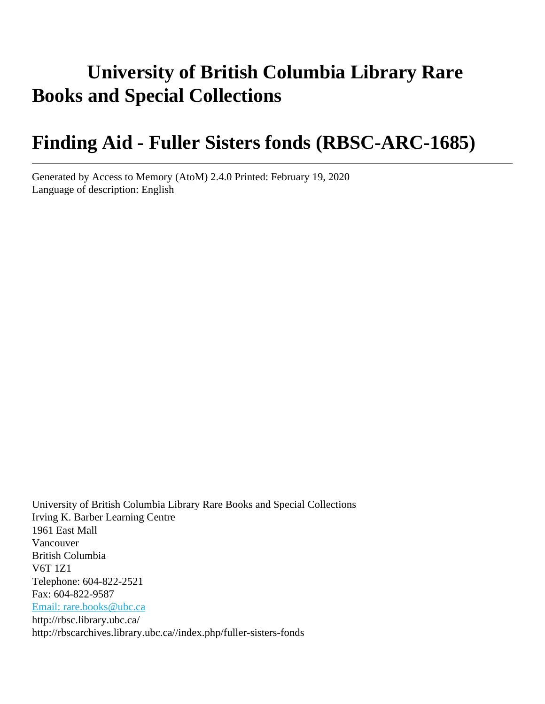# **University of British Columbia Library Rare Books and Special Collections**

# **Finding Aid - Fuller Sisters fonds (RBSC-ARC-1685)**

Generated by Access to Memory (AtoM) 2.4.0 Printed: February 19, 2020 Language of description: English

University of British Columbia Library Rare Books and Special Collections Irving K. Barber Learning Centre 1961 East Mall Vancouver British Columbia V6T 1Z1 Telephone: 604-822-2521 Fax: 604-822-9587 [Email: rare.books@ubc.ca](mailto:Email: rare.books@ubc.ca) http://rbsc.library.ubc.ca/ http://rbscarchives.library.ubc.ca//index.php/fuller-sisters-fonds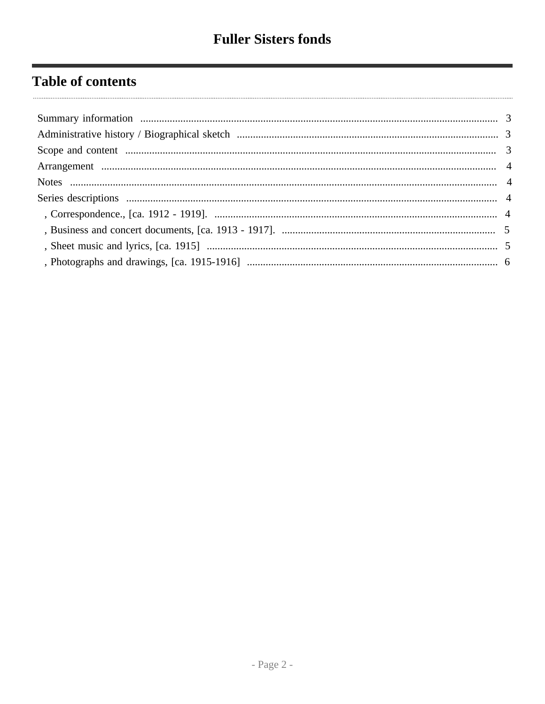# **Table of contents**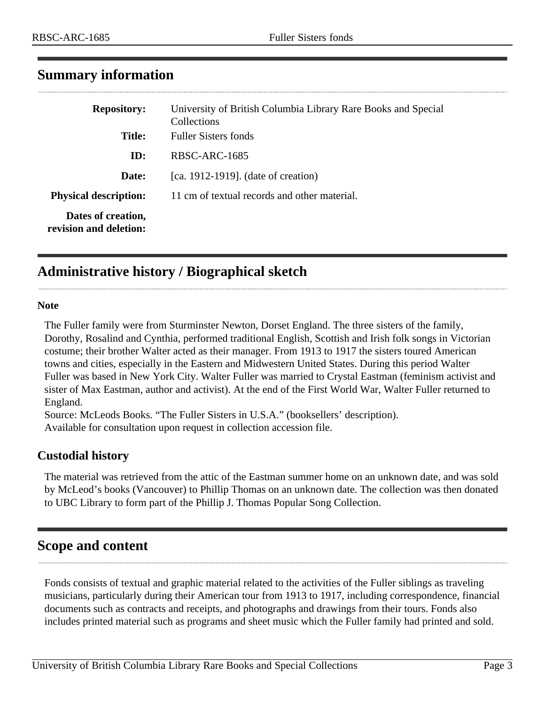| <b>Repository:</b>                           | University of British Columbia Library Rare Books and Special<br>Collections |
|----------------------------------------------|------------------------------------------------------------------------------|
| <b>Title:</b>                                | <b>Fuller Sisters fonds</b>                                                  |
| ID:                                          | RBSC-ARC-1685                                                                |
| Date:                                        | [ca. 1912-1919]. (date of creation)                                          |
| <b>Physical description:</b>                 | 11 cm of textual records and other material.                                 |
| Dates of creation,<br>revision and deletion: |                                                                              |

## <span id="page-2-0"></span>**Summary information**

## <span id="page-2-1"></span>**Administrative history / Biographical sketch**

#### **Note**

The Fuller family were from Sturminster Newton, Dorset England. The three sisters of the family, Dorothy, Rosalind and Cynthia, performed traditional English, Scottish and Irish folk songs in Victorian costume; their brother Walter acted as their manager. From 1913 to 1917 the sisters toured American towns and cities, especially in the Eastern and Midwestern United States. During this period Walter Fuller was based in New York City. Walter Fuller was married to Crystal Eastman (feminism activist and sister of Max Eastman, author and activist). At the end of the First World War, Walter Fuller returned to England.

Source: McLeods Books. "The Fuller Sisters in U.S.A." (booksellers' description).

Available for consultation upon request in collection accession file.

## **Custodial history**

The material was retrieved from the attic of the Eastman summer home on an unknown date, and was sold by McLeod's books (Vancouver) to Phillip Thomas on an unknown date. The collection was then donated to UBC Library to form part of the Phillip J. Thomas Popular Song Collection.

## <span id="page-2-2"></span>**Scope and content**

Fonds consists of textual and graphic material related to the activities of the Fuller siblings as traveling musicians, particularly during their American tour from 1913 to 1917, including correspondence, financial documents such as contracts and receipts, and photographs and drawings from their tours. Fonds also includes printed material such as programs and sheet music which the Fuller family had printed and sold.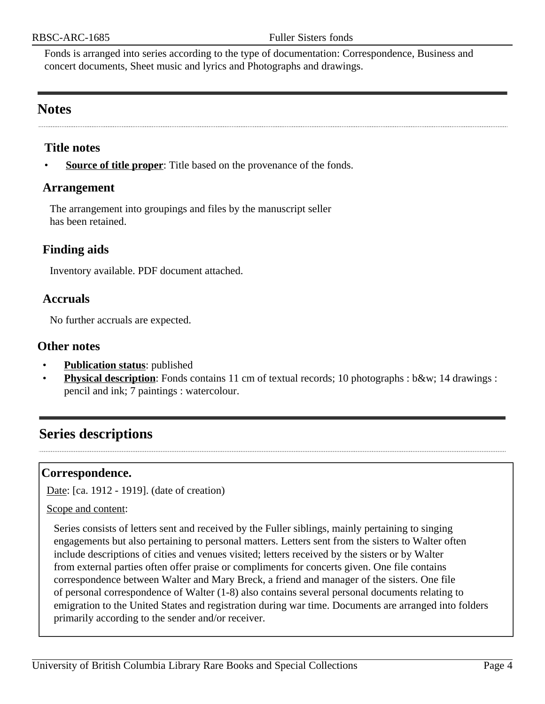Fonds is arranged into series according to the type of documentation: Correspondence, Business and concert documents, Sheet music and lyrics and Photographs and drawings.

## <span id="page-3-1"></span>**Notes**

#### **Title notes**

**<u>Source of title proper</u>**: Title based on the provenance of the fonds.

#### <span id="page-3-0"></span>**Arrangement**

The arrangement into groupings and files by the manuscript seller has been retained.

#### **Finding aids**

Inventory available. PDF document attached.

#### **Accruals**

No further accruals are expected.

#### **Other notes**

- **Publication status:** published
- **Physical description**: Fonds contains 11 cm of textual records; 10 photographs : b&w; 14 drawings : pencil and ink; 7 paintings : watercolour.

## <span id="page-3-2"></span>**Series descriptions**

#### <span id="page-3-3"></span>**Correspondence.**

Date: [ca. 1912 - 1919]. (date of creation)

Scope and content:

Series consists of letters sent and received by the Fuller siblings, mainly pertaining to singing engagements but also pertaining to personal matters. Letters sent from the sisters to Walter often include descriptions of cities and venues visited; letters received by the sisters or by Walter from external parties often offer praise or compliments for concerts given. One file contains correspondence between Walter and Mary Breck, a friend and manager of the sisters. One file of personal correspondence of Walter (1-8) also contains several personal documents relating to emigration to the United States and registration during war time. Documents are arranged into folders primarily according to the sender and/or receiver.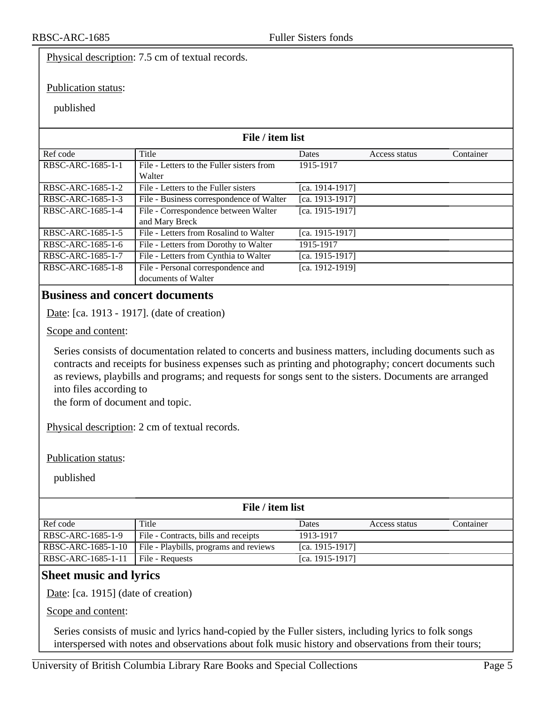Physical description: 7.5 cm of textual records.

Publication status:

#### published

| File / item list  |                                           |                 |               |           |
|-------------------|-------------------------------------------|-----------------|---------------|-----------|
| Ref code          | Title                                     | Dates           | Access status | Container |
| RBSC-ARC-1685-1-1 | File - Letters to the Fuller sisters from | 1915-1917       |               |           |
|                   | Walter                                    |                 |               |           |
| RBSC-ARC-1685-1-2 | File - Letters to the Fuller sisters      | [ca. 1914-1917] |               |           |
| RBSC-ARC-1685-1-3 | File - Business correspondence of Walter  | [ca. 1913-1917] |               |           |
| RBSC-ARC-1685-1-4 | File - Correspondence between Walter      | [ca. 1915-1917] |               |           |
|                   | and Mary Breck                            |                 |               |           |
| RBSC-ARC-1685-1-5 | File - Letters from Rosalind to Walter    | [ca. 1915-1917] |               |           |
| RBSC-ARC-1685-1-6 | File - Letters from Dorothy to Walter     | 1915-1917       |               |           |
| RBSC-ARC-1685-1-7 | File - Letters from Cynthia to Walter     | [ca. 1915-1917] |               |           |
| RBSC-ARC-1685-1-8 | File - Personal correspondence and        | [ca. 1912-1919] |               |           |
|                   | documents of Walter                       |                 |               |           |

### <span id="page-4-0"></span>**Business and concert documents**

Date: [ca. 1913 - 1917]. (date of creation)

Scope and content:

Series consists of documentation related to concerts and business matters, including documents such as contracts and receipts for business expenses such as printing and photography; concert documents such as reviews, playbills and programs; and requests for songs sent to the sisters. Documents are arranged into files according to

the form of document and topic.

Physical description: 2 cm of textual records.

Publication status:

published

#### **File / item list**

| Ref code           | Title                                  | Dates                | Access status | Container |
|--------------------|----------------------------------------|----------------------|---------------|-----------|
| RBSC-ARC-1685-1-9  | File - Contracts, bills and receipts   | 1913-1917            |               |           |
| RBSC-ARC-1685-1-10 | File - Playbills, programs and reviews | [ca. $1915 - 1917$ ] |               |           |
| RBSC-ARC-1685-1-11 | File - Requests                        | [ca. $1915 - 1917$ ] |               |           |

### <span id="page-4-1"></span>**Sheet music and lyrics**

Date: [ca. 1915] (date of creation)

Scope and content:

Series consists of music and lyrics hand-copied by the Fuller sisters, including lyrics to folk songs interspersed with notes and observations about folk music history and observations from their tours;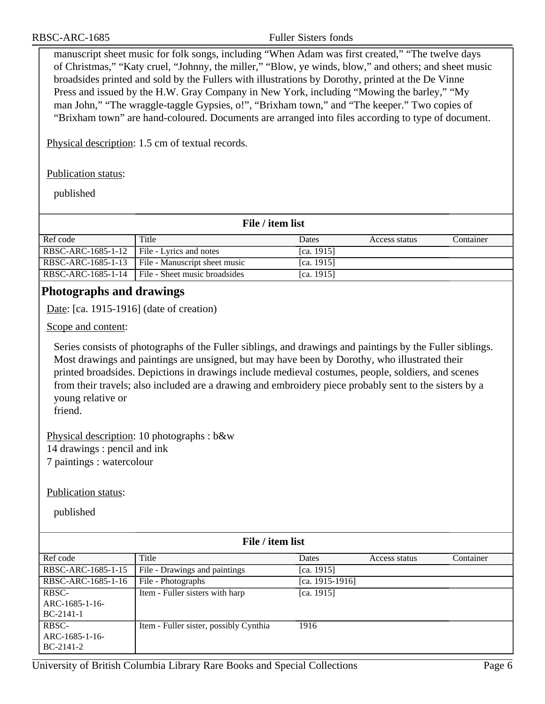manuscript sheet music for folk songs, including "When Adam was first created," "The twelve days of Christmas," "Katy cruel, "Johnny, the miller," "Blow, ye winds, blow," and others; and sheet music broadsides printed and sold by the Fullers with illustrations by Dorothy, printed at the De Vinne Press and issued by the H.W. Gray Company in New York, including "Mowing the barley," "My man John," "The wraggle-taggle Gypsies, o!", "Brixham town," and "The keeper." Two copies of "Brixham town" are hand-coloured. Documents are arranged into files according to type of document.

Physical description: 1.5 cm of textual records.

Publication status:

published

| File / item list   |                               |               |               |           |
|--------------------|-------------------------------|---------------|---------------|-----------|
| Ref code           | Title                         | Dates         | Access status | Container |
| RBSC-ARC-1685-1-12 | File - Lyrics and notes       | [ca. $1915$ ] |               |           |
| RBSC-ARC-1685-1-13 | File - Manuscript sheet music | [ca. $1915$ ] |               |           |
| RBSC-ARC-1685-1-14 | File - Sheet music broadsides | [ca. $1915$ ] |               |           |

## <span id="page-5-0"></span>**Photographs and drawings**

Date: [ca. 1915-1916] (date of creation)

Scope and content:

Series consists of photographs of the Fuller siblings, and drawings and paintings by the Fuller siblings. Most drawings and paintings are unsigned, but may have been by Dorothy, who illustrated their printed broadsides. Depictions in drawings include medieval costumes, people, soldiers, and scenes from their travels; also included are a drawing and embroidery piece probably sent to the sisters by a young relative or

friend.

Physical description: 10 photographs : b&w 14 drawings : pencil and ink 7 paintings : watercolour

Publication status:

published

| File / item list   |                                        |                 |               |           |
|--------------------|----------------------------------------|-----------------|---------------|-----------|
| Ref code           | Title                                  | Dates           | Access status | Container |
| RBSC-ARC-1685-1-15 | File - Drawings and paintings          | [ca. 1915]      |               |           |
| RBSC-ARC-1685-1-16 | File - Photographs                     | [ca. 1915-1916] |               |           |
| RBSC-              | Item - Fuller sisters with harp        | [ca. 1915]      |               |           |
| ARC-1685-1-16-     |                                        |                 |               |           |
| $BC-2141-1$        |                                        |                 |               |           |
| RBSC-              | Item - Fuller sister, possibly Cynthia | 1916            |               |           |
| ARC-1685-1-16-     |                                        |                 |               |           |
| $BC-2141-2$        |                                        |                 |               |           |